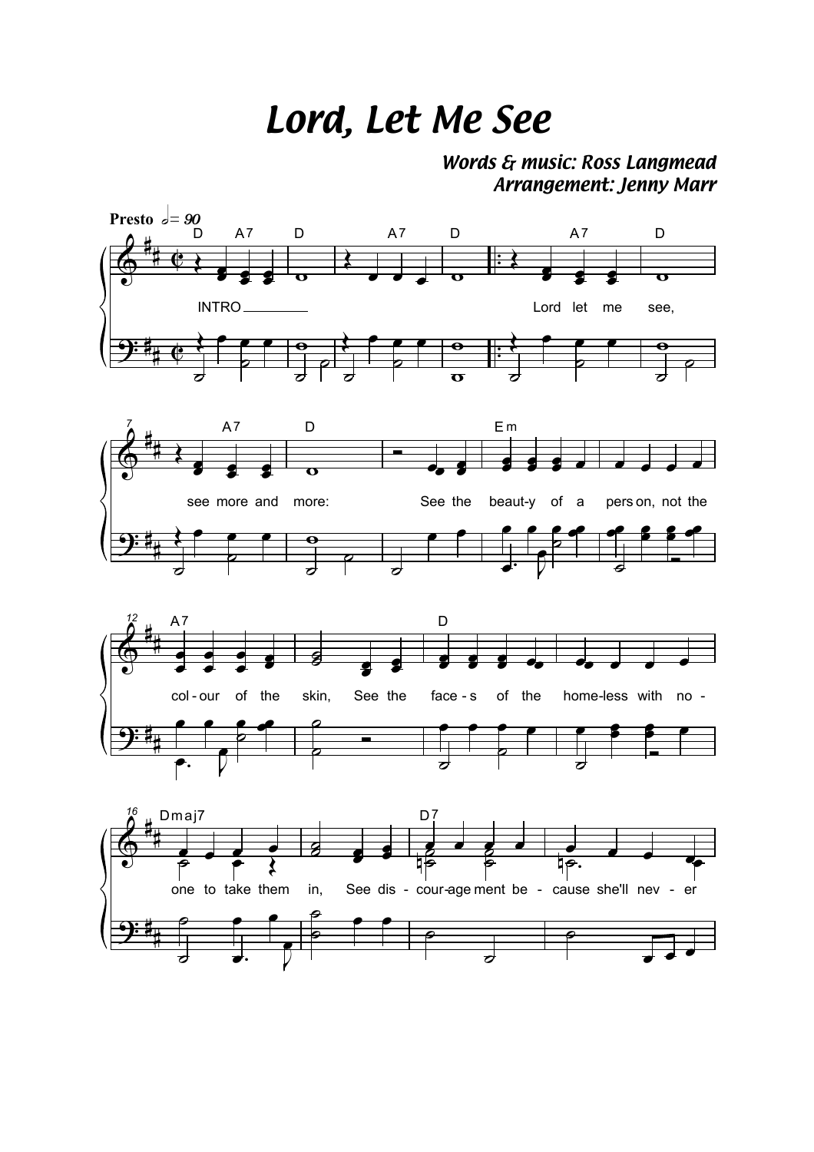## *Lord, Let Me See*

*Words & music: Ross Langmead Arrangement: Jenny Marr*